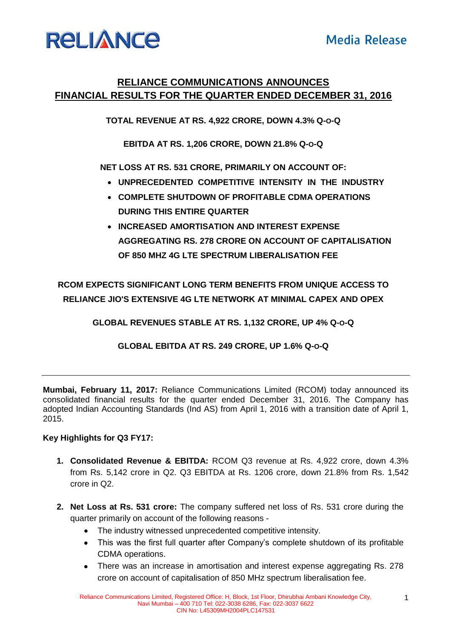## **RELIANCE**

### **RELIANCE COMMUNICATIONS ANNOUNCES FINANCIAL RESULTS FOR THE QUARTER ENDED DECEMBER 31, 2016**

**TOTAL REVENUE AT RS. 4,922 CRORE, DOWN 4.3% Q-O-Q**

**EBITDA AT RS. 1,206 CRORE, DOWN 21.8% Q-O-Q**

**NET LOSS AT RS. 531 CRORE, PRIMARILY ON ACCOUNT OF:** 

- **UNPRECEDENTED COMPETITIVE INTENSITY IN THE INDUSTRY**
- **COMPLETE SHUTDOWN OF PROFITABLE CDMA OPERATIONS DURING THIS ENTIRE QUARTER**
- **INCREASED AMORTISATION AND INTEREST EXPENSE AGGREGATING RS. 278 CRORE ON ACCOUNT OF CAPITALISATION OF 850 MHZ 4G LTE SPECTRUM LIBERALISATION FEE**

**RCOM EXPECTS SIGNIFICANT LONG TERM BENEFITS FROM UNIQUE ACCESS TO RELIANCE JIO'S EXTENSIVE 4G LTE NETWORK AT MINIMAL CAPEX AND OPEX**

**GLOBAL REVENUES STABLE AT RS. 1,132 CRORE, UP 4% Q-O-Q**

**GLOBAL EBITDA AT RS. 249 CRORE, UP 1.6% Q-O-Q**

**Mumbai, February 11, 2017:** Reliance Communications Limited (RCOM) today announced its consolidated financial results for the quarter ended December 31, 2016. The Company has adopted Indian Accounting Standards (Ind AS) from April 1, 2016 with a transition date of April 1, 2015.

#### **Key Highlights for Q3 FY17:**

- **1. Consolidated Revenue & EBITDA:** RCOM Q3 revenue at Rs. 4,922 crore, down 4.3% from Rs. 5,142 crore in Q2. Q3 EBITDA at Rs. 1206 crore, down 21.8% from Rs. 1,542 crore in Q2.
- **2. Net Loss at Rs. 531 crore:** The company suffered net loss of Rs. 531 crore during the quarter primarily on account of the following reasons -
	- The industry witnessed unprecedented competitive intensity.
	- This was the first full quarter after Company's complete shutdown of its profitable CDMA operations.
	- There was an increase in amortisation and interest expense aggregating Rs. 278 crore on account of capitalisation of 850 MHz spectrum liberalisation fee.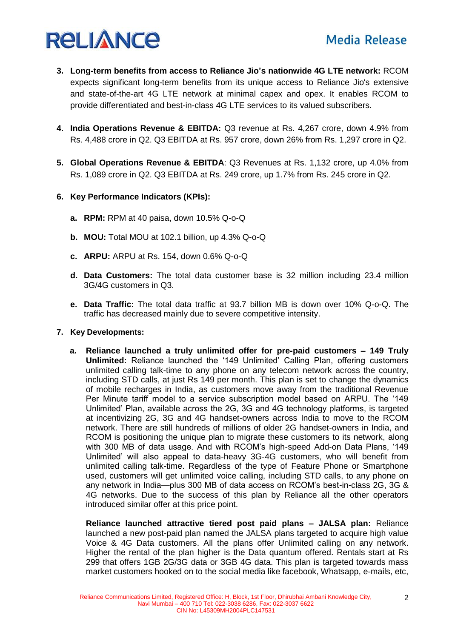# **RELIANCE**

- **3. Long-term benefits from access to Reliance Jio's nationwide 4G LTE network:** RCOM expects significant long-term benefits from its unique access to Reliance Jio's extensive and state-of-the-art 4G LTE network at minimal capex and opex. It enables RCOM to provide differentiated and best-in-class 4G LTE services to its valued subscribers.
- **4. India Operations Revenue & EBITDA:** Q3 revenue at Rs. 4,267 crore, down 4.9% from Rs. 4,488 crore in Q2. Q3 EBITDA at Rs. 957 crore, down 26% from Rs. 1,297 crore in Q2.
- **5. Global Operations Revenue & EBITDA**: Q3 Revenues at Rs. 1,132 crore, up 4.0% from Rs. 1,089 crore in Q2. Q3 EBITDA at Rs. 249 crore, up 1.7% from Rs. 245 crore in Q2.
- **6. Key Performance Indicators (KPIs):** 
	- **a. RPM:** RPM at 40 paisa, down 10.5% Q-o-Q
	- **b. MOU:** Total MOU at 102.1 billion, up 4.3% Q-o-Q
	- **c. ARPU:** ARPU at Rs. 154, down 0.6% Q-o-Q
	- **d. Data Customers:** The total data customer base is 32 million including 23.4 million 3G/4G customers in Q3.
	- **e. Data Traffic:** The total data traffic at 93.7 billion MB is down over 10% Q-o-Q. The traffic has decreased mainly due to severe competitive intensity.
- **7. Key Developments:**
	- **a. Reliance launched a truly unlimited offer for pre-paid customers – 149 Truly Unlimited:** Reliance launched the '149 Unlimited' Calling Plan, offering customers unlimited calling talk-time to any phone on any telecom network across the country, including STD calls, at just Rs 149 per month. This plan is set to change the dynamics of mobile recharges in India, as customers move away from the traditional Revenue Per Minute tariff model to a service subscription model based on ARPU. The '149 Unlimited' Plan, available across the 2G, 3G and 4G technology platforms, is targeted at incentivizing 2G, 3G and 4G handset-owners across India to move to the RCOM network. There are still hundreds of millions of older 2G handset-owners in India, and RCOM is positioning the unique plan to migrate these customers to its network, along with 300 MB of data usage. And with RCOM's high-speed Add-on Data Plans, '149 Unlimited' will also appeal to data-heavy 3G-4G customers, who will benefit from unlimited calling talk-time. Regardless of the type of Feature Phone or Smartphone used, customers will get unlimited voice calling, including STD calls, to any phone on any network in India—plus 300 MB of data access on RCOM's best-in-class 2G, 3G & 4G networks. Due to the success of this plan by Reliance all the other operators introduced similar offer at this price point.

**Reliance launched attractive tiered post paid plans – JALSA plan:** Reliance launched a new post-paid plan named the JALSA plans targeted to acquire high value Voice & 4G Data customers. All the plans offer Unlimited calling on any network. Higher the rental of the plan higher is the Data quantum offered. Rentals start at Rs 299 that offers 1GB 2G/3G data or 3GB 4G data. This plan is targeted towards mass market customers hooked on to the social media like facebook, Whatsapp, e-mails, etc,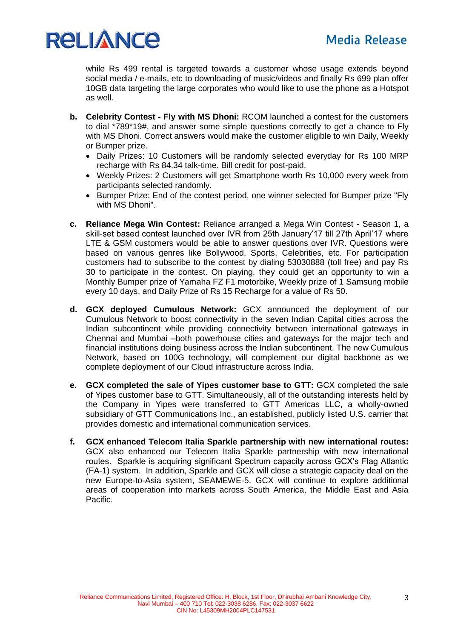

while Rs 499 rental is targeted towards a customer whose usage extends beyond social media / e-mails, etc to downloading of music/videos and finally Rs 699 plan offer 10GB data targeting the large corporates who would like to use the phone as a Hotspot as well.

- **b. Celebrity Contest - Fly with MS Dhoni:** RCOM launched a contest for the customers to dial \*789\*19#, and answer some simple questions correctly to get a chance to Fly with MS Dhoni. Correct answers would make the customer eligible to win Daily, Weekly or Bumper prize.
	- Daily Prizes: 10 Customers will be randomly selected everyday for Rs 100 MRP recharge with Rs 84.34 talk-time. Bill credit for post-paid.
	- Weekly Prizes: 2 Customers will get Smartphone worth Rs 10,000 every week from participants selected randomly.
	- Bumper Prize: End of the contest period, one winner selected for Bumper prize "Fly with MS Dhoni".
- **c. Reliance Mega Win Contest:** Reliance arranged a Mega Win Contest Season 1, a skill-set based contest launched over IVR from 25th January'17 till 27th April'17 where LTE & GSM customers would be able to answer questions over IVR. Questions were based on various genres like Bollywood, Sports, Celebrities, etc. For participation customers had to subscribe to the contest by dialing 53030888 (toll free) and pay Rs 30 to participate in the contest. On playing, they could get an opportunity to win a Monthly Bumper prize of Yamaha FZ F1 motorbike, Weekly prize of 1 Samsung mobile every 10 days, and Daily Prize of Rs 15 Recharge for a value of Rs 50.
- **d. GCX deployed Cumulous Network:** GCX announced the deployment of our Cumulous Network to boost connectivity in the seven Indian Capital cities across the Indian subcontinent while providing connectivity between international gateways in Chennai and Mumbai –both powerhouse cities and gateways for the major tech and financial institutions doing business across the Indian subcontinent. The new Cumulous Network, based on 100G technology, will complement our digital backbone as we complete deployment of our Cloud infrastructure across India.
- **e. GCX completed the sale of Yipes customer base to GTT:** GCX completed the sale of Yipes customer base to GTT. Simultaneously, all of the outstanding interests held by the Company in Yipes were transferred to GTT Americas LLC, a wholly-owned subsidiary of GTT Communications Inc., an established, publicly listed U.S. carrier that provides domestic and international communication services.
- **f. GCX enhanced Telecom Italia Sparkle partnership with new international routes:** GCX also enhanced our Telecom Italia Sparkle partnership with new international routes. Sparkle is acquiring significant Spectrum capacity across GCX's Flag Atlantic (FA-1) system. In addition, Sparkle and GCX will close a strategic capacity deal on the new Europe-to-Asia system, SEAMEWE-5. GCX will continue to explore additional areas of cooperation into markets across South America, the Middle East and Asia Pacific.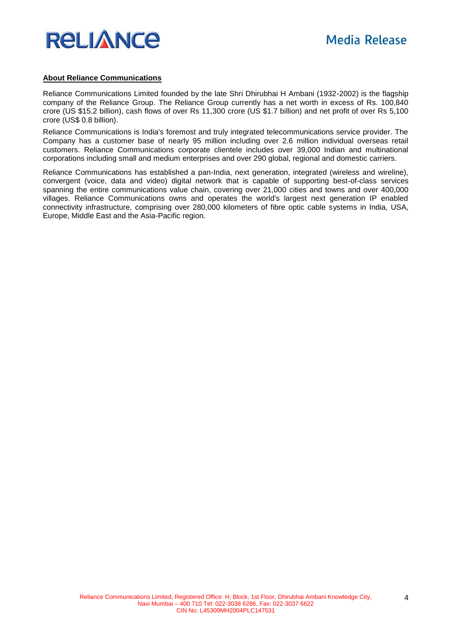

#### **About Reliance Communications**

Reliance Communications Limited founded by the late Shri Dhirubhai H Ambani (1932-2002) is the flagship company of the Reliance Group. The Reliance Group currently has a net worth in excess of Rs. 100,840 crore (US \$15.2 billion), cash flows of over Rs 11,300 crore (US \$1.7 billion) and net profit of over Rs 5,100 crore (US\$ 0.8 billion).

Reliance Communications is India's foremost and truly integrated telecommunications service provider. The Company has a customer base of nearly 95 million including over 2.6 million individual overseas retail customers. Reliance Communications corporate clientele includes over 39,000 Indian and multinational corporations including small and medium enterprises and over 290 global, regional and domestic carriers.

Reliance Communications has established a pan-India, next generation, integrated (wireless and wireline), convergent (voice, data and video) digital network that is capable of supporting best-of-class services spanning the entire communications value chain, covering over 21,000 cities and towns and over 400,000 villages. Reliance Communications owns and operates the world's largest next generation IP enabled connectivity infrastructure, comprising over 280,000 kilometers of fibre optic cable systems in India, USA, Europe, Middle East and the Asia-Pacific region.